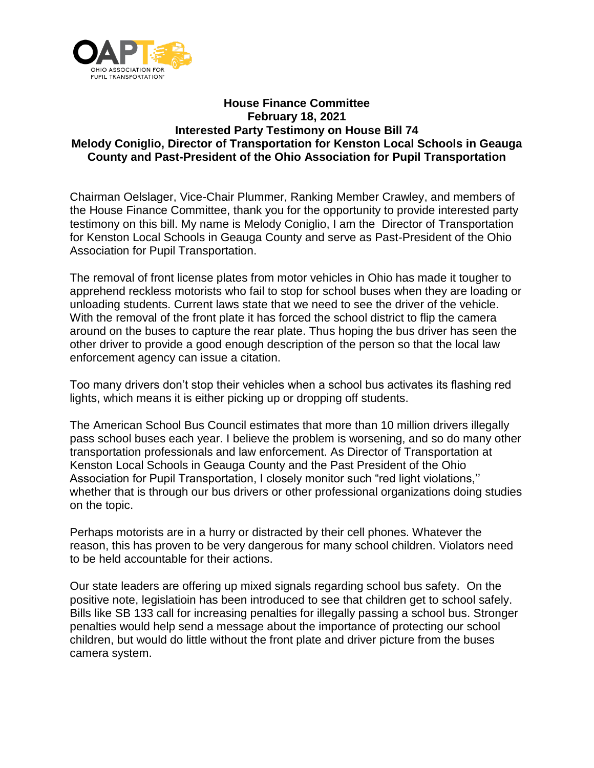

## **House Finance Committee February 18, 2021 Interested Party Testimony on House Bill 74 Melody Coniglio, Director of Transportation for Kenston Local Schools in Geauga County and Past-President of the Ohio Association for Pupil Transportation**

Chairman Oelslager, Vice-Chair Plummer, Ranking Member Crawley, and members of the House Finance Committee, thank you for the opportunity to provide interested party testimony on this bill. My name is Melody Coniglio, I am the Director of Transportation for Kenston Local Schools in Geauga County and serve as Past-President of the Ohio Association for Pupil Transportation.

The removal of front license plates from motor vehicles in Ohio has made it tougher to apprehend reckless motorists who fail to stop for school buses when they are loading or unloading students. Current laws state that we need to see the driver of the vehicle. With the removal of the front plate it has forced the school district to flip the camera around on the buses to capture the rear plate. Thus hoping the bus driver has seen the other driver to provide a good enough description of the person so that the local law enforcement agency can issue a citation.

Too many drivers don't stop their vehicles when a school bus activates its flashing red lights, which means it is either picking up or dropping off students.

The American School Bus Council estimates that more than 10 million drivers illegally pass school buses each year. I believe the problem is worsening, and so do many other transportation professionals and law enforcement. As Director of Transportation at Kenston Local Schools in Geauga County and the Past President of the Ohio Association for Pupil Transportation, I closely monitor such "red light violations,'' whether that is through our bus drivers or other professional organizations doing studies on the topic.

Perhaps motorists are in a hurry or distracted by their cell phones. Whatever the reason, this has proven to be very dangerous for many school children. Violators need to be held accountable for their actions.

Our state leaders are offering up mixed signals regarding school bus safety. On the positive note, legislatioin has been introduced to see that children get to school safely. Bills like SB 133 call for increasing penalties for illegally passing a school bus. Stronger penalties would help send a message about the importance of protecting our school children, but would do little without the front plate and driver picture from the buses camera system.